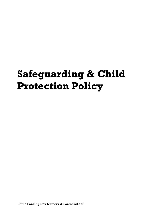# **Safeguarding & Child Protection Policy**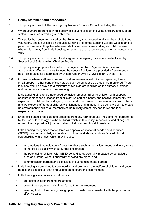#### **1 Policy statement and procedures**

- 1.1 This policy applies to Little Lancing Day Nursery & Forest School, including the EYFS.
- 1.2 Where *staff* are referenced in this policy this covers all staff, including ancillary and support staff and volunteers working with children.
- 1.3 This policy has been authorised by the Governors, is addressed to all members of staff and volunteers, and is available on the Little Lancing area of the Lancing College website and to parents on request. It applies wherever staff or volunteers are working with children even where this is away from Little Lancing, for example at an activity centre or on an educational visit.
- 1.4 This policy is in accordance with locally agreed inter-agency procedures established by Sussex Local Safeguarding Children Boards.
- 1.5 This policy is appropriate for children from age 2 months to 5 years. Adequate and appropriate staffing resources to meet the needs of children are provided, often exceeding adult: child ratios as determined by Ofsted: Under 2yrs 1:3, 2yr old 1:4, 3yr old+ 1:8.
- 1.6 Occasions where staff are alone with children are minimised. Children spending time in small groups in other parts of the nursery such as outdoor play areas, are monitored. There is a lone working policy and a minimum of two staff are required on the nursery premises and on home visits to avoid lone working.
- 1.7 Little Lancing aims to promote good behaviour amongst all of its children, with support, encouragement and guidance from all staff. As part of a happy and positive community, we expect all our children to be diligent, honest and considerate in their relationship with others and we expect staff to treat children with kindness and fairness. In so doing we aim to create an environment in which all members of the nursery community can thrive and feel respected and valued.
- 1.8 Every child should feel safe and protected from any form of abuse (including that perpetrated by the use of technology ie cyberbullying) which, in this policy, means any kind of neglect, non-accidental physical injury, sexual exploitation or emotional ill-treatment.

Little Lancing recognises that children with special educational needs and disabilities (SEND) may be particularly vulnerable to bullying and abuse, and can face additional safeguarding challenges, which may include:

- assumptions that indicators of possible abuse such as behaviour, mood and injury relate to the child's disability without further exploration;
- the potential for children with SEND being disproportionally impacted by behaviours such as bullying, without outwardly showing any signs; and
- communication barriers and difficulties in overcoming these barriers.
- 1.9 Little Lancing is committed to safeguarding and promoting the welfare of children and young people and expects all staff and volunteers to share this commitment.
- 1.10 Little Lancing's key duties are defined as:
	- protecting children from maltreatment;
	- preventing impairment of children's health or development;
	- ensuring that children are growing up in circumstances consistent with the provision of effective care;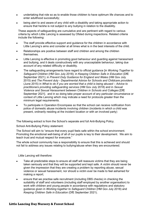- undertaking that role so as to enable those children to have optimum life chances and to enter adulthood successfully;
- being alert to and aware of any child with a disability and taking appropriate action to ensure that he/she is not subject to any bullying in relation to the disability.

These aspects of safeguarding are cumulative and are pertinent with regard to various criteria by which Little Lancing is assessed by Ofsted during inspections. Related criteria include the following:

- The staff provide effective support and guidance for the children in accordance with Little Lancing's aims and consider at all times what is in the best interests of the child.
- Relationships are positive between staff and children and among the children themselves.
- Little Lancing is effective in promoting good behaviour and guarding against harassment and bullying, and it deals constructively with any unacceptable behaviour, taking due account of any related difficulty or disability.
- The safeguarding arrangements have regard to official guidance [in *Working Together to Safeguard Children* (HM Gov July 2018); in *Keeping Children Safe in Education* (DfE September 2021); in *Prevent Duty Guidance for England and Wales* (HM Gov July 2015) and *The Prevent duty - Departmental Advice for Schools and Childcare providers*  (June 2015) in *What to do if you are worried that a child is being abused – Advice to practitioners providing safeguarding services* (HM Gov July 2018) and in *Sexual Violence and Sexual Harassment between Children in Schools and Colleges* [DfE September 2021]. and in so doing take proper account of any particular circumstance or context of Little Lancing which may indicate a need for protocols greater than the minimum legal requirements.
- To participate in Operation Encompass so that the school can receive notification from police of domestic abuse incidents involving children (incidents in which a child was present, ordinarily residing at the incident location or with an involved party)

The following extract is from the School's separate and full Anti-Bullying Policy.

School Anti-Bullying Policy statement:

The School will aim to "ensure that every pupil feels safe within the school environment. Promoting the emotional well-being of all of our pupils is key to their development. We aim to teach trust and mutual respect for everyone."

The whole school community has a responsibility to ensure that this is achieved and should not fail to address any issues relating to bullying/abuse when they are encountered.

Little Lancing will therefore:

- Take all predictable steps to ensure all staff will reassure victims that they are being taken seriously and that they will be supported and kept safe. A victim should never be given the impression that they are creating a problem by reporting abuse, sexual violence or sexual harassment, nor should a victim ever be made to feel ashamed for making a report;
- ensure that we practise safe recruitment (including DBS checks) in checking the suitability of staff and volunteers (including staff employed by another organisation) to work with children and young people in accordance with regulations and statutory guidance given in *Working together to Safeguard Children* (HM Gov July 2018) and *Keeping Children Safe in Education* (DfE September 2021).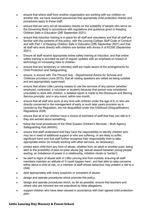- ensure that where staff from another organisation are working with our children on another site, we have received assurances that appropriate child protection checks and procedures apply to those staff;
- ensure that we carry out all necessary checks on the suitability of people who serve on the Governing Body in accordance with regulations and guidance given in Keeping Children Safe in Education (DfE September 2021);
- ensure that induction training is in place for all staff and volunteers and that all staff are familiar with the contents of this policy, with the *Lancing College Staff Code of Conduct* and with Part 1 of *Keeping Children Safe in Education* (DfE September 2021) and that all staff who work directly with children are familiar with *Annex A of KCSIE* (September 2021);
- Ensure all staff receive appropriate online safety training at induction, and that online safety training is provided as part of regular updates with an emphasis on impact of technology on increasing risks to children.
- ensure that any temporary or voluntary staff are made aware of the arrangements for Child Protection and Safeguarding;
- ensure, in accord with *The Prevent duty - Departmental Advice for Schools and Childcare providers* (June 2015), that all visiting speakers are vetted as being suitable and are appropriately supervised;
- ensure that where Little Lancing ceases to use the services of any person (whether employed, contracted, a volunteer or student) because that person was considered unsuitable to work with children, a detailed report is made to the Disclosure and Barring Service promptly, and in any event, within one month;
- ensure that all staff who work at any time with children under the age of 8, or who are directly concerned in the management of early or such later years provision as is covered by the Regulation, are not disqualified under the Childhood (Disqualification) Regulations 2009;
- ensure that all of our children have a choice of members of staff that they can talk to if they are worried about something;
- follow the local procedures of the West Sussex Children's Services Multi Agency Safeguarding Hub (MASH);
- ensure that staff understand that they have the responsibility to identify children who may be in need of additional support or who are suffering, or are likely to suffer, significant harm and that staff further recognise their responsibility then to take appropriate action (to include working with other services, as necessary);
- protect each child from any form of abuse, whether from an adult or another pupil, being alert to the possibility of peer-on-peer abuse [eg sexual assault between young people, sexting, an imbalance of power in a relationship, initiation rituals or 'banter'];
- be alert to signs of abuse both in Little Lancing and from outside; ensuring all staff members maintain an attitude of 'it could happen here', and feel able to raise concerns either about a child at risk, or a member of staff whose behaviour may present a risk to a child;
- deal appropriately with every suspicion or complaint of abuse;
- design and operate procedures which promote this policy;
- design and operate procedures which, so far as possible, ensure that teachers and others who are innocent are not prejudiced by false allegations;
- support children who have been abused in accordance with their agreed child protection plan;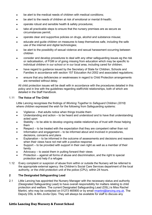- be alert to the medical needs of children with medical conditions;
- be alert to the needs of children at risk of emotional or mental ill-health;
- operate robust and sensible health & safety procedures;
- take all practicable steps to ensure that the nursery premises are as secure as circumstances permit;
- operate clear and supportive policies on drugs, alcohol and substance misuse;
- educate and guide children on measures to keep themselves safe, including the safe use of the internet and digital technologies;
- be alert to the possibility of sexual violence and sexual harassment occurring between children
- consider and develop procedures to deal with any other safeguarding issues eg the risk or radicalisation, of FGM or of going missing from education which may be specific to individual children in our school or in our local area, including cared for children;
- have regard to guidance issued by the Secretary of State for Children, Schools and Families in accordance with section 157 Education Act 2002 and associated regulations;
- ensure that any deficiencies or weaknesses in regard to Child Protection arrangements are remedied without delay.

All child protection issues will be dealt with in accordance with the procedures detailed in this policy and in line with the guidelines regarding staff/child relationships, both of which are detailed in the Staff Handbook.

#### 1.11 **The Voice of The Child**

Little Lancing recognises the findings of *Working Together to Safeguard Children (2018)* where children expressed the wish for the following from Safeguarding systems:

- Vigilance that adults notice when things trouble them
- Understanding and action to be heard and understood and to have that understanding acted upon
- Stability to be able to develop ongoing stable relationships of trust with those helping them
- Respect to be treated with the expectation that they are competent rather than not
- Information and engagement to be informed about and involved in procedures, decisions, concerns and plans
- Explanation to be informed in the outcome of assessments and decisions and reasons when their views have not met with a positive response
- Support to be provided with support in their own right as well as a member of their family
- Advocacy  $-$  to assist them in putting forward their views
- Protection against all forms of abuse and discrimination, and the right to special protection and help if a refugee
- 1.12 Every complaint or suspicion of abuse from within or outside the Nursery will be referred to the appropriate external agency: the Children's Social Care Services department of the local authority, or the child protection unit of the police (CPU), within 24 hours.

#### **2 The Designated Safeguarding Lead**

2.1 Little Lancing has appointed the Nursery Manager with the necessary status and authority (Designated Safeguarding Lead) to have overall responsibility for matters relating to child protection and welfare. The current Designated Safeguarding Lead (DSL) is Miss Rachel Martini, who may be contacted on 01273 465900 or by email **rmartini@lancing.org.uk**. The Deputy DSL is Mrs Jovita Opio. They will always be available for staff to discuss any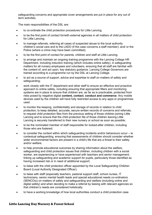safeguarding concerns and appropriate cover arrangements are put in place for any out of term activities.

The main responsibilities of the DSL are:

- to co-ordinate the child protection procedures for Little Lancing;
- to be the first point of contact for/with external agencies in all matters of child protection for Little Lancing;
- to manage referrals, referring all cases of suspected abuse to the local authority children's social care and to the LADO (if the case concerns a staff member); and/ or the Police (where a crime may have been committed);
- to be the first point of contact for parents, children and staff at Little Lancing;
- to arrange and maintain an ongoing training programme with the Lancing College HR Department, including induction training (which includes online safety), in safeguarding matters for all nursery employees and volunteers, ensuring that all staff are familiar with the content of, and act upon, key statutory guidance. Lancing College Governors are trained according to a programme run by the DSL at Lancing College.
- to act as a source of support, advice and expertise to staff on matters of safety and safeguarding;
- work closely with the IT department and other staff to ensure an effective and proactive approach to online safety, including ensuring that appropriate filters and monitoring systems are in place to ensure that children are, as far as is practicable, protected from risks posed by negative digital **content, contact**, **conduct and commerce**. Any mobile devices used by the children will have fully restricted access to any apps or programmes used.
- to monitor the keeping, confidentiality and storage of records in relation to child protection; to keep detailed, accurate, secure written records of concerns and referrals, to request child protection files from the previous setting of those children joining Little Lancing and to ensure that the child protection file of those children leaving Little Lancing is securely transferred to their new nursery or school as soon as possible;
- to be the nominated member of staff responsible for looked-after children, including those who are fostered;
- to consider the context within which safeguarding incidents and/or behaviours occur ie contextual safeguarding, ensuring that assessments of children should consider whether wider environmental factors are present in a child's life that are a threat to their safety and/or welfare.
- to help promote educational outcomes by sharing information about the welfare, safeguarding and child protection issues that children, including children with a social worker, are experiencing or have experienced with teachers and senior management, linking up safeguarding and academic support for pupils, particularly those identified as having increased risk or in need of additional support;
- to liaise with the child protection officer appointed by the Local Safeguarding Children Board (Local Authority Designated Officer);
- to liaise with staff (especially teachers, pastoral support staff, school nurses, IT technicians, senior mental health leads and special educational needs co-ordinators (SENCOs)) on matters of safety and safeguarding and welfare (including online and digital safety) and when deciding to make a referral by liaising with relevant agencies so that children's needs are considered holistically;
- to have a working knowledge of how local authorities conduct a child protection case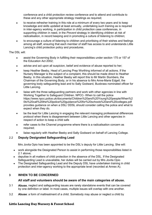conference and a child protection review conference and to attend and contribute to these and any other appropriate strategy meetings as required;

- to receive refresher training in this role at a minimum of every two years and to keep knowledge and skills updated at least annually, undertaking such training as is required in inter-agency working, in participation in child protection case conferences, in supporting children in need, in the *Prevent* strategy in identifying children at risk of radicalisation, in record keeping and in promoting a culture of listening to children;
- to encourage a culture of listening to children and prioritising of their wishes and feelings among all staff, ensuring that each member of staff has access to and understands Little Lancing's child protection policy and procedures.

#### The DSL will:

- assist the Governing Body in fulfilling their responsibilities under section 175 or 157 of the Education Act 2002;
- advise and act upon all suspicion, belief and evidence of abuse reported to her;
- keep Heather Beeby, Head of Lancing Prep Worthing informed of all actions. If the Nursery Manager is the subject of a complaint, this should be made direct to Heather Beeby. In this situation, Heather Beeby will report this to Mr Martin Slumbers, the Chairman of the Governing Body, or in his absence to Mrs Anne-Marie Edgell, the governing body safeguarding lead and to Sally Godward, Buxbrass nominated officer for Little Lancing.
- liaise with the three safeguarding partners and work with other agencies in line with Working Together to Safeguard Children. NPCC- When to call the police https://www.npcc.police.uk/documents/Children%20and%20Young%20people/When%2 0to%20call%20the%20police%20guidance%20for%20schools%20and%20colleges.pdf provides guidance on when a DSL/ DDSL should consider calling the police and what to expect when they do.
- be the lead for Little Lancing in engaging the relevant managing professional differences protocol when there is disagreement between Little Lancing and other agencies in respect of action to keep a child safe
- refer cases to the Channel programme where there is a radicalisation concern as required;
- liaise regularly with Heather Beeby and Sally Godward on behalf of Lancing College.

#### 2.2 **Deputy Designated Safeguarding Lead**

Mrs Jovita Opio has been appointed to be the DSL's deputy for Little Lancing. She will:

- work alongside the Designated Person to assist in performing those responsibilities listed in 2.1 above;
- deputise in all matters of child protection in the absence of the DSL. If the Designated Safeguarding Lead is unavailable, her duties will be carried out by Mrs Jovita Opio
- The Designated Safeguarding Lead and the Deputy DSL have undertaken training in child protection and inter-agency working to the appropriate level (recorded at Annex A).

#### **3 WHEN TO BE CONCERNED**

#### **All staff and volunteers should be aware of the main categories of abuse.**

- 3.1 **Abuse**, neglect and safeguarding issues are rarely standalone events that can be covered by one definition or label. In most cases, multiple issues will overlap with one another.
- 3.2 **Abuse**: a form of maltreatment of a child. Somebody may abuse or neglect a child by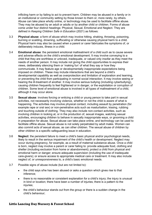inflicting harm or by failing to act to prevent harm. Children may be abused in a family or in an institutional or community setting by those known to them or, more rarely, by others. Abuse can take place wholly online, or technology may be used to facilitate offline abuse. They may be abused by an adult or adults or by another child or children. Forms of abuse come under four distinct headings: Physical, Sexual, Emotional and Neglect. They are defined in *Keeping Children Safe in Education* (2021) as follows:

- 3.3 **Physical abuse**: a form of abuse which may involve hitting, shaking, throwing, poisoning, burning or scalding, drowning, suffocating or otherwise causing physical harm to a child. Physical harm may also be caused when a parent or carer fabricates the symptoms of, or deliberately induces, illness in a child.
- 3.4 **Emotional abuse**: the persistent emotional maltreatment of a child such as to cause severe and adverse effects on the child's emotional development. It may involve conveying to a child that they are worthless or unloved, inadequate, or valued only insofar as they meet the needs of another person. It may include not giving the child opportunities to express their views, deliberately silencing them or 'making fun' of what they say or how they communicate. It may feature age or developmentally inappropriate expectations being imposed on children. These may include interactions that are beyond a child's developmental capability as well as overprotection and limitation of exploration and learning, or preventing the child from participating in normal social interaction. It may involve seeing or hearing the ill-treatment of another. It may involve serious bullying (including cyberbullying), causing children frequently to feel frightened or in danger, or the exploitation or corruption of children. Some level of emotional abuse is involved in all types of maltreatment of a child, although it may occur alone.
- 3.5 **Sexual abuse**: involves forcing or enticing a child or young person to take part in sexual activities, not necessarily involving violence, whether or not the child is aware of what is happening. The activities may involve physical contact, including assault by penetration (for example rape or oral sex) or non-penetrative acts such as masturbation, kissing, rubbing and touching outside of clothing. They may also include non-contact activities, such as involving children in looking at, or in the production of, sexual images, watching sexual activities, encouraging children to behave in sexually inappropriate ways, or grooming a child in preparation for abuse. Sexual abuse can take place online, and technology can be used to facilitate offline abuse. Sexual abuse is not solely perpetrated by adult males. Women can also commit acts of sexual abuse, as can other children. The sexual abuse of children by other children is a specific safeguarding issue in education.
- 3.6 **Neglect**: the persistent failure to meet a child's basic physical and/or psychological needs, likely to result in the serious impairment of the child's health or development. Neglect may occur during pregnancy, for example, as a result of maternal substance abuse. Once a child is born, neglect may involve a parent or carer failing to: provide adequate food, clothing and shelter (including exclusion from home or abandonment); protect a child from physical and emotional harm or danger; ensure adequate supervision (including the use of inadequate care-givers); or ensure access to appropriate medical care or treatment. It may also include neglect of, or unresponsiveness to, a child's basic emotional needs.
- 3.7 Possible signs of abuse include (but are not limited to):
	- the child says s/he has been abused or asks a question which gives rise to that inference;
	- there is no reasonable or consistent explanation for a child's injury; the injury is unusual in kind or location; there have been a number of injuries; there is a pattern to the injuries;
	- the child's behaviour stands out from the group or there is a sudden change in the child's behaviour;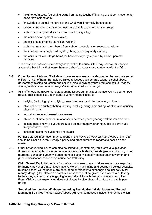- heightened anxiety (eg shying away from being touched/flinching at sudden movements) and/or low self-esteem;
- knowledge of sexual matters beyond what would normally be expected;
- property and work damaged or lost more than is usual for the age group;
- a child becoming withdrawn and reluctant to say why;
- the child's development is delayed;
- the child loses or gains significant weight;
- a child going missing or absent from school, particularly on repeat occasions;
- the child appears neglected, eg dirty, hungry, inadequately clothed;
- the child is reluctant to go home, or has been openly rejected by his/her parents or carers.

The above list does not cover every aspect of child abuse. Staff may observe or become aware of other things that worry them and should always share concerns with the DSL.

- 3.8 **Other Types of Abuse:** Staff should have an awareness of safeguarding issues that can put children at risk of harm. Behaviours linked to issues such as drug taking, alcohol abuse, deliberately missing education and sexting (also known as youth produced sexual imagery sharing nudes or semi-nude images/videos) put children in danger.
- 3.9 All staff should be aware that safeguarding issues can manifest themselves via peer on peer abuse. This is most likely to include, but may not be limited to:
	- bullying (including cyberbullying, prejudice-based and discriminatory bullying);
	- physical abuse such as hitting, kicking, shaking, biting, hair pulling, or otherwise causing physical harm;
	- sexual violence and sexual harassment;
	- abuse in intimate personal relationships between peers (teenage relationship abuse);
	- sexting (also known as youth produced sexual imagery, sharing nudes or semi-nude images/videos); and
	- initiation/hazing type violence and rituals.

Further detailed information may be found in the *Policy on Peer on Peer Abuse* and all staff should be clear as to the Nursery's policy and procedures with regards to peer on peer abuse.

3.10 Other Safeguarding issues can also be linked to (for example); child sexual exploitation; domestic violence; fabricated or induced illness; faith abuse; female genital mutilation; forced marriage; gangs and youth violence; gender-based violence/violence against women and girls; radicalisation; relationship abuse and trafficking.

**Child Sexual Exploitation**: is a form of sexual abuse where children are sexually exploited for money, power or status. It can involve violent, humiliating and degrading sexual assaults. In some cases, young people are persuaded or forced into exchanging sexual activity for money, drugs, gifts, affection or status. Consent cannot be given, even where a child may believe they are voluntarily engaging in sexual activity with the person who is exploiting them. Child sexual exploitation does not always involve physical contact and can happen online.

**So-called 'honour-based' abuse (including Female Genital Mutilation and Forced Marriage)** So-called 'honour-based' abuse (HBA) encompasses incidents or crimes which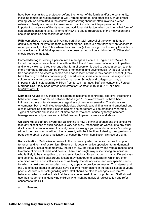have been committed to protect or defend the honour of the family and/or the community, including female genital mutilation (FGM), forced marriage, and practices such as breast ironing. Abuse committed in the context of preserving "honour" often involves a wider network of family or community pressure and can include multiple perpetrators. It is important to be aware of this dynamic and additional risk factors when deciding what form of safeguarding action to take. All forms of HBA are abuse (regardless of the motivation) and should be handled and escalated as such.

**FGM** comprises all procedures involving partial or total removal of the external female genitalia or other injury to the female genital organs. There is a statutory duty on teachers to report personally to the Police where they discover (either through disclosure by the victim or visual evidence) that FGM appears to have been carried out on a girl under 18. Other staff should report to the DSL.

**Forced Marriage**: Forcing a person into a marriage is a crime in England and Wales. A forced marriage is one entered into without the full and free consent of one or both parties and where violence, threats or any other form of coercion is used to cause a person to enter into a marriage. Threats can be physical or emotional and psychological. A lack of full and free consent can be where a person does not consent or where they cannot consent (if they have learning disabilities, for example). Nevertheless, some communities use religion and culture as a way to coerce a person into marriage. Schools and colleges can play an important role in safeguarding children from forced marriage. Staff can contact the Forced Marriage Unit if they need advice or information: Contact: 0207 008 0151 or email [fmu@fco.gov.uk.](mailto:fmu@fco.gov.uk)

**Domestic Abuse** is any incident or pattern of incidents of controlling, coercive, threatening behaviour, violence or abuse between those aged 16 or over who are, or have been, intimate partners or family members regardless of gender or sexuality. The abuse can encompass, but is not limited to psychological, physical, sexual, financial and emotional and a child witnessing domestic violence against another/others will be emotionally harmed. Types of domestic abuse include intimate partner violence, abuse by family members, teenage relationship abuse and child/adolescent to parent violence and abuse.

**Up skirting**: all staff are aware that Up skirting is now a criminal offence and the school will take any allegations of such behaviour very seriously, responding as we would to any other disclosure of potential abuse. It typically involves taking a picture under a person's clothing without them knowing or without their consent, with the intention of viewing their genitals or buttocks to obtain sexual gratification, or cause the victim humiliation, distress or alarm.

**Radicalisation**: Radicalisation refers to the process by which a person comes to support terrorism and forms of extremism. Extremism is vocal or active opposition to fundamental British values, including democracy, the rule of law, individual liberty and mutual respect and tolerance of different faiths and beliefs. There is no single way of identifying an individual who is likely to be susceptible to an extremist ideology. It can happen in many different ways and settings. Specific background factors may contribute to vulnerability which are often combined with specific influences such as family, friends or online, and with specific needs for which an extremist or terrorist group may appear to provide an answer. The internet and the use of social media in particular have become major factors in the radicalisation of young people. As with other safeguarding risks, staff should be alert to changes in children's behaviour, which could indicate that they may be in need of help or protection. Staff should use their judgement in identifying children who might be at risk of radicalisation and refer concerns to the DSL.

**a Prevent**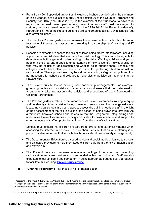- From 1 July 2015 specified authorities, including all schools as defined in the summary of this guidance, are subject to a duty under section 26 of the Counter-Terrorism and Security Act 2015 ("the CTSA 2015"), in the exercise of their functions, to have "due regard<sup>1</sup> to the need prevent people being drawn into terrorism<sup>[2](#page-10-1)</sup>" must have regard to statutory guidance issued under section 29 of the CTSA 2015 ("the Prevent guidance"). Paragraphs 57-76 of the Prevent guidance are concerned specifically with schools (but also cover childcare).
- The statutory Prevent guidance summarises the requirements on schools in terms of four general themes: risk assessment, working in partnership, staff training and IT policies.
- Schools are expected to assess the risk of children being drawn into terrorism, including support for extremist ideas that are part of terrorist ideology. This means being able to demonstrate both a general understanding of the risks affecting children and young people in the area and a specific understanding of how to identify individual children who may be at risk of radicalisation and what to do to support them. Schools and colleges should have clear procedures in place for protecting children at risk of radicalisation. These procedures may be set out in existing safeguarding policies. It is not necessary for schools and colleges to have distinct policies on implementing the Prevent duty.
- The Prevent duty builds on existing local partnership arrangements. For example, governing bodies and proprietors of all schools should ensure that their safeguarding arrangements take into account the policies and procedures of Local Safeguarding Children Partnerships.
- The Prevent quidance refers to the importance of Prevent awareness training to equip staff to identify children at risk of being drawn into terrorism and to challenge extremist ideas. Individual schools are best placed to assess the training needs of staff in the light of their assessment of the risk to pupils at the school of being drawn into terrorism. As a minimum, however, schools should ensure that the Designated Safeguarding Lead undertakes Prevent awareness training and is able to provide advice and support to other members of staff on protecting children from the risk of radicalisation.
- Schools must ensure that children are safe from terrorist and extremist material when accessing the internet in schools. Schools should ensure that suitable filtering is in place. It is also important that schools teach pupils about online safety more generally.
- The Department for Education has issued advice and social media guidance to schools and childcare providers to help them keep children safe from the risk of radicalisation and extremism.
- The Prevent duty also requires educational settings to ensure that preventing radicalisation and violent extremism is embedded within the curriculum. Staff are also expected to feel confident and competent in using appropriate pedagogical approaches to facilitate this learning. **[Prevent duty advice](https://www.gov.uk/government/uploads/system/uploads/attachment_data/file/439598/prevent-duty-departmental-advice-v6.pdf)**
- **b Channel Programme** for those at risk of radicalisation

<span id="page-10-0"></span><sup>1</sup> According to the Prevent duty guidance 'having due regard' means that the authorities should place an appropriate amount of weight on the need to prevent people being drawn into terrorism when they consider all the other factors relevant to how they carry out their usual functions

<span id="page-10-1"></span><sup>&</sup>lt;sup>2</sup> "Terrorism" for these purposes has the same meaning as for the Terrorism Act 2000 (section 1(1) to (4) of that Act).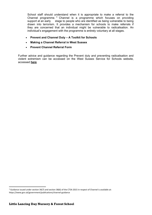School staff should understand when it is appropriate to make a referral to the Channel programme.<sup>[3](#page-11-0)</sup> Channel is a programme which focuses on providing support at an early stage to people who are identified as being vulnerable to being stage to people who are identified as being vulnerable to being drawn into terrorism. It provides a mechanism for schools to make referrals if they are concerned that an individual might be vulnerable to radicalisation. An individual's engagement with the programme is entirely voluntary at all stages.

- **[Prevent and Channel Duty A Toolkit for Schools](http://www.westsussexscb.org.uk/wp-content/uploads/Prevent-and-Channel-Duty-A-Toolkit-for-Schools.docx)**
- **[Making a Channel Referral in West Sussex](http://www.westsussexscb.org.uk/wp-content/uploads/Making-a-Channel-Referral-in-West-Sussex.docx)**
- **[Prevent Channel Referral Form](http://www.westsussexscb.org.uk/wp-content/uploads/Prevent-Channel-Referral-Form.doc)**

Further advice and guidance regarding the Prevent duty and preventing radicalisation and violent extremism can be accessed on the West Sussex Service for Schools website, accessed **[here](http://schools.westsussex.gov.uk/Services/3601)**

<span id="page-11-0"></span><sup>&</sup>lt;sup>3</sup> Guidance issued under section 36(7) and section 38(6) of the CTSA 2015 in respect of Channel is available at: https://www.gov.uk/government/publications/channel-guidance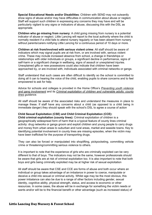**Special Educational Needs and/or Disabilities**: Children with SEND may not outwardly show signs of abuse and/or may have difficulties in communication about abuse or neglect. Staff will support such children in expressing any concerns they may have and will be particularly vigilant to any signs or indicators of abuse, discussing this with the DSL as appropriate.

**Children who go missing from nursery**: A child going missing from nursery is a potential indicator of abuse or neglect. Little Lancing will report to the local authority where the child is normally resident if a child fails to attend nursery regularly or has been absent from nursery without parents/carers notifying Little Lancing for a continuous period of 10 days or more.

**Children at risk from/involved with serious violent crime**: All staff should be aware of indicators which may signal pupils are at risk from, or are involved with, serious violent crime. These may include increased absence from school, a change in friendships or relationships with older individuals or groups, a significant decline in performance, signs of self-harm or a significant change in wellbeing, signs of assault or unexplained injuries. Unexplained gifts or new possessions could also indicate that children have been approached by, or are involved with, individuals associated with criminal networks or gangs.

Staff understand that such cases are often difficult to identify so the school is committed to doing all it can to hearing the voice of the child, enabling pupils to share concerns and to feel empowered to ask for help.

Advice for schools and colleges is provided in the Home Office's *[Preventing youth violence](https://assets.publishing.service.gov.uk/government/uploads/system/uploads/attachment_data/file/418131/Preventing_youth_violence_and_gang_involvement_v3_March2015.pdf)  [and gang involvement](https://assets.publishing.service.gov.uk/government/uploads/system/uploads/attachment_data/file/418131/Preventing_youth_violence_and_gang_involvement_v3_March2015.pdf)* and its *[Criminal exploitation of children and vulnerable adults: county](https://www.gov.uk/government/publications/criminal-exploitation-of-children-and-vulnerable-adults-county-lines/criminal-exploitation-of-children-and-vulnerable-adults-county-lines)  [lines](https://www.gov.uk/government/publications/criminal-exploitation-of-children-and-vulnerable-adults-county-lines/criminal-exploitation-of-children-and-vulnerable-adults-county-lines) guidance.*

All staff should be aware of the associated risks and understand the measures in place to manage these. If staff have any concerns about a child (as opposed to a child being in immediate danger) they should speak with the school's DSL to agree a course of action

#### **Child Sexual Exploitation (CSE) and Child Criminal Exploitation (CCE):**

**Child criminal exploitation (county lines):** Criminal exploitation of children is a geographically widespread form of harm that is a typical feature of county lines criminal activity: drug networks or gangs groom and exploit children and young people to carry drugs and money from urban areas to suburban and rural areas, market and seaside towns. Key to identifying potential involvement in county lines are missing episodes, when the victim may have been trafficked for the purpose of transporting drugs.

They can also be forced or manipulated into shoplifting, pickpocketing, committing vehicle crime or threatening/committing serious violence to others.

It is important to note that the experience of girls who are criminally exploited can be very different to that of boys. The indicators may not be the same, however professionals should be aware that girls are at risk of criminal exploitation too. It is also important to note that both boys and girls being criminally exploited may be at higher risk of sexual exploitation

All staff should be aware that CSE and CCE are forms of abuse and both occur where an individual or group takes advantage of an imbalance in power to coerce, manipulate or deceive a child into sexual or criminal activity. Whilst age may be the most obvious, this power imbalance can also be due to a range of other factors including gender, sexual identity, cognitive ability, physical strength, status, and access to economic or other resources. In some cases, the abuse will be in exchange for something the victim needs or wants and/or will be to the financial benefit or other advantage (such as increased status) of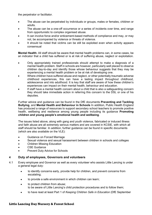the perpetrator or facilitator.

- The abuse can be perpetrated by individuals or groups, males or females, children or adults.
- The abuse can be a one-off occurrence or a series of incidents over time, and range from opportunistic to complex organised abuse.
- It can involve force and/or enticement-based methods of compliance and may, or may not, be accompanied by violence or threats of violence.
- It should be noted that victims can be still be exploited even when activity appears consensual

**Mental Health:** All staff should be aware that mental health problems can, in some cases, be an indicator that a child has suffered or is at risk of suffering abuse, neglect or exploitation.

- Only appropriately trained professionals should attempt to make a diagnosis of a mental health problem. Staff in schools are however, particularly well placed to observe children day-to-day and identify those whose behaviour suggests that they may be experiencing a mental health problem or be at risk of developing one.
- Where children have suffered abuse and neglect, or other potentially traumatic adverse childhood experiences, this can have a lasting impact throughout childhood, adolescence and into adulthood. It is key that staff are aware of how these children's experiences can impact on their mental health, behaviour and education.
- If staff have a mental health concern about a child that is also a safequarding concern they should take immediate action in referring this concern to the DSL or one of his deputies.

Further advice and guidance can be found in the DfE documents **Preventing and Tackling Bullying**, and **Mental Health and Behaviour in Schools** In addition, Public Health England has produced a range of resources to support secondary school teachers to promote positive health, wellbeing and resilience among young people including its guidance **Promoting children and young people's emotional health and wellbeing**.

The issues listed above, along with gang and youth violence, fabricated or induced illness and faith abuse are all extremely serious matters and are covered in KCSIE, with which all staff should be familiar. In addition, further guidance can be found in specific documents (which are also available on the VLE):

- Guidance on Forced Marriage
- Sexual violence and sexual harassment between children in schools and colleges
- Children Missing Education
- CSE Guidance
- Prevent Duty Advice for Schools

#### **4 Duty of employees, Governors and volunteers**

- 4.1 Every employee and Governor as well as every volunteer who assists Little Lancing is under a general legal duty:
	- to identify concerns early, provide help for children, and prevent concerns from escalating;
	- to provide a safe environment in which children can learn;
	- to protect children from abuse; to be aware of Little Lancing's child protection procedures and to follow them;
	- to have read at least Part 1 of *Keeping Children Safe in Education* (DfE September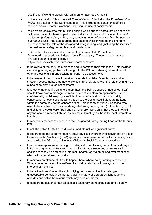2021) and, if working closely with children to have read Annex B;

- to have read and to follow the staff *Code of Conduct* (including the *Whistleblowing Policy*) as detailed in the Staff Handbook. This includes guidance on staff/child relationships and communications, including the use of social media;
- to be aware of systems within Little Lancing which support safeguarding and which will be explained to them as part of staff induction. This should include: the *child protection (safeguarding) policy*; the *promoting good behaviour policy;* the *peer-onpeer abuse policy*; the safeguarding response to children who go missing from education; and the role of the designated safeguarding lead (including the identity of the designated safeguarding lead and the deputy).
- to know how to access and implement the Sussex Child Protection and Safeguarding procedures, independently if necessary. These procedures are available as an electronic copy at <http://pansussexscb.proceduresonline.com/index.htm>
- to be aware of the early help process and understand their role in this. This includes identifying emerging problems, liaising with the DSL and sharing information with other professionals in undertaking an early help assessment;
- to be aware of the process for making referrals to children's social care and for statutory assessments that may follow such referral, along with the role they might be expected to play in such assessments;
- to know what to do if a child tells them he/she is being abused or neglected. Staff should know how to manage the requirement to maintain an appropriate level of confidentiality whilst keeping a sufficient record of any significant complaint, conversation or event and passing this on to the Designated Safeguarding Lead within the same day as the concern arises. This means only involving those who need to be involved, such as the designated safeguarding lead (or the Deputy DSL) and children's social care. Staff should never promise a child that they will not tell anyone about a report of abuse, as this may ultimately not be in the best interests of the child.
- to report any matters of concern to the Designated Safeguarding Lead or the Deputy DSL;
- to call the police (999) if a child is at immediate risk of significant harm;
- to report to the police (a mandatory duty) any case where they discover that an act of Female Genital Mutilation (FGM) appears to have been carried out - discussing such a case with the DSL who will involve Children's Social Care as appropriate.
- to undertake appropriate training, including induction training within their first days at Little Lancing and/update training at regular intervals (recorded at Annex A), in addition to receiving and noting informal updates (eg via email and staff meetings) which will occur at least annually;
- to maintain an attitude of 'it could happen here' where safeguarding is concerned. When concerned about the welfare of a child, all staff should always act in the interests of the child;
- to be active in reinforcing the anti-bullying policy and active in challenging unacceptable behaviour eg 'banter', discriminatory or derogatory language and attitudes and online behaviour which may occasion harm;
- to support the guidance that takes place pastorally on keeping safe and e-safety.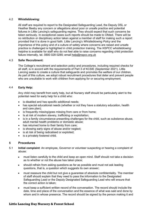#### 4.2 **Whistleblowing:**

All staff are required to report to the Designated Safeguarding Lead, the Deputy DSL or Heather Beeby any concern or allegations about poor or unsafe practice and potential failures in Little Lancing's safeguarding regime. They should expect that such concerns be taken seriously. In exceptional cases such reports should be made to Ofsted. There will be no retribution or disciplinary action taken against a member of staff for making such a report provided that it is done in good faith. Little Lancing's *Whistleblowing Policy* and the importance of this policy and of a culture of safety where concerns are raised and unsafe practice is challenged is highlighted in child protection training. The *NSPCC whistleblowing helpline* is available for staff who do not feel able to raise concerns regarding child protection failure internally, tel. 0800 028 0285; email [help@nspcc.org.uk](mailto:help@nspcc.org.uk)

#### 4.3 **Safer Recruitment:**

The College's recruitment and selection policy and procedures, including required checks for all staff, is in accord with the requirements of Part 3 of KCSIE (September 2021). Little Lancing seeks to create a culture that safeguards and promotes the welfare of our children. As part of this culture, we adopt robust recruitment procedures that deter and prevent people who are unsuitable to work with children from applying for or securing employment.

#### 4.4 **Early Help:**

Any child may benefit from early help, but all Nursery staff should be particularly alert to the potential need for early help for a child who:

- is disabled and has specific additional needs;
- has special educational needs (whether or not they have a statutory education, health and care plan);
- is frequently missing/goes missing from care or from home;
- Is at risk of modern slavery, trafficking or exploitation;
- is in a family circumstance presenting challenges for the child, such as substance abuse, adult mental health problems or domestic abuse;
- has returned home to their family from care;
- is showing early signs of abuse and/or neglect;
- is at risk of being radicalised or exploited;
- is a privately fostered child.

#### **5 Procedures**

- 5.1 **Initial complaint**: An employee, Governor or volunteer suspecting or hearing a complaint of abuse:
	- must listen carefully to the child and keep an open mind. Staff should not take a decision as to whether or not the abuse has taken place;
	- should refrain from asking questions as far as possible and must not ask leading questions, that is, a question which suggests its own answer;
	- must reassure the child but not give a guarantee of absolute confidentiality. The member of staff should explain that they need to pass the information to the Designated Safeguarding Lead or the Deputy Designated Safeguarding Lead who will ensure that the correct action is taken;
	- must keep a sufficient written record of the conversation. The record should include the date, time and place of the conversation and the essence of what was said and done by whom and in whose presence. The record should be signed by the person making it and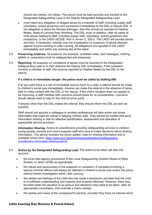should use names, not initials. The record must be kept securely and handed to the Designated Safeguarding Lead or the Deputy Designated Safeguarding Lead;

- must report any allegation of alleged abuse by a member of staff, including supply staff, volunteers, school governors and contractors immediately to the DSL or Deputy DSL. If the allegation is about the Nursery Manager, then this should be reported to Heather Beeby, Head of Lancing Prep Worthing. The DSL must, in addition, refer all cases of child abuse relating to staff, including supply staff, volunteers, school governors and contractors, to the LADO (*KCSIE, Part 4, Annex C*, 2021). The LADO will provide advice and then, if necessary, preside over the investigation or suspicion of abuse directed against anyone working in Little Lancing. All allegations are reported to the LADO immediately and within one working day at the latest.
- 5.2 **Preserving evidence**: All evidence (for example, scribbled notes, text messages, clothing, tablets or computers) must be safeguarded and preserved.
- 5.3 **Reporting**: All suspicion or complaints of abuse must be reported to the Designated Safeguarding Lead or in their absence the Deputy DSL immediately. If the complaint involves a member of staff, this must be reported to Heather Beeby by the DSL or her deputy.

#### **If a child is in immediate danger, the police must be called by dialling 999**

If at any point there is a risk of immediate serious harm to a child, a referral should be made to children's social care immediately. Anyone can make this referral in the absence of being able to make contact with the DSL or her deputy. If the child's situation does not appear to be improving, a staff member with concerns should press for re-consideration. Concerns should always lead to help for the child at some point.

If anyone other than the DSL makes the referral, they should inform the DSL as soon as possible.

Staff should not assume a colleague or another professional will take action and share information that might be critical in keeping children safe. They should be mindful that early information sharing is vital for effective identification, assessment and allocation of appropriate service provision.

**Information Sharing**: *Advice for practitioners providing safeguarding services to children, young people, parents and carers* supports staff who have to make decisions about sharing information. This advice includes the seven golden rules for sharing information and is available online here: https://www.gov.uk/government/publications/safequarding[practitioners-information-sharing-advice](https://www.gov.uk/government/publications/safeguarding-practitioners-information-sharing-advice)

#### 5.4 **Action by the Designated Safeguarding Lead**: The action to be taken will take into account:

- the local inter-agency procedures of the Local Safeguarding Children Board of West Sussex, or other LSCBs as appropriate;
- the nature and seriousness of the suspicion or complaint. A complaint involving a serious criminal offence will always be referred to children's social care and/or the police without further investigation within Little Lancing;
- the wishes and feelings of the child who has made a disclosure, provided that the child is of sufficient understanding and maturity and properly informed. However, there may be times when the situation is so serious that decisions may need to be taken, after all appropriate consultation, that override a child's wishes;
- the wishes and views of the complainant's parents, provided they have no interest which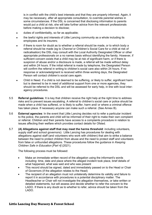is in conflict with the child's best interests and that they are properly informed. Again, it may be necessary, after all appropriate consultation, to override parental wishes in some circumstances. If the DSL is concerned that disclosing information to parents would put a child at risk, she will take further advice from the relevant professionals before making a decision to disclose;

- duties of confidentiality, so far as applicable;
- the lawful rights and interests of Little Lancing community as a whole including its employees and its insurers;
- if there is room for doubt as to whether a referral should be made, or to which body a referral should be made (eg to *Channel* or Children's Social Care for a child at risk of radicalisation) the DSL may consult with the Local Authority Designated Officer or other appropriate professionals on a no names basis without identifying the family. However, if sufficient concern exists that a child may be at risk of significant harm, or if there is suspicion of abuse and/or a disclosure is made, a referral will be made without delay and within 24 hours. If the initial referral is made by telephone, the Designated Person will confirm the referral in writing to children's social care also within 24 hours. If no response or acknowledgment is received within three working days, the Designated Person will contact children's social care again.
- Child in Need. If a child is not deemed to be suffering, or likely to suffer, significant harm but is deemed to be in need of additional support from one or more agencies, they should be referred to the DSL and will be assessed for early help, in line with local interagency procedures.
- 5.5 **Referral guidelines**: It is key that children receive the right help at the right time to address risks and to prevent issues escalating. A referral to children's social care or police should be made when a child has suffered, or is likely to suffer, harm and/ or where a criminal offence has taken place. If necessary anyone can make such a referral. (See Annex B).
- 5.6 **External agencies**: In the event that Little Lancing decides not to refer a particular incident to the police, the parents and child will be informed of their right to make their own complaint or referral. Children and their parents have access to a complaints procedure in relation to issues affecting their welfare which provides contact details for Ofsted.
- 5.7 **(A) Allegations against staff that may meet the harms threshold**: including volunteers, supply staff and school governors)**:** Little Lancing has procedures for dealing with allegations against staff (and volunteers who work with children) that aim to strike a balance between the need to protect children from abuse and the need to protect staff and volunteers from false or unfounded allegations. These procedures follow the guidance in *Keeping Children Safe in Education [Part 4]* (2021).

The following process must be followed:

- Make an immediate written record of the allegation using the informant's words including: time, date and place where the alleged incident took place, brief details of what happened, what was said and who was present
- This record should be signed, dated and immediately passed on to the Head or Chair of Governors (if the allegation relates to the Head)
- The recipient of an allegation must not unilaterally determine its validity and failure to report it in accordance with procedures is a potential disciplinary matter. The Headteacher or Chair will not investigate the allegation themselves, or take written or detailed statements, but will assess and decide whether to refer the concern to the LADO. If there is any doubt as to whether to refer, advice should be taken from the LADO.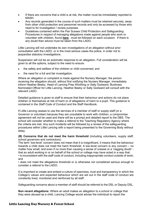- If there are concerns that a child is at risk, the matter must be immediately reported to MASH.
- Any records generated in the course of such matters must be retained securely, away from other child protection and personnel records and only be accessed by those who need to for investigation / review purposes.
- Guidelines contained within the Pan Sussex Child Protection and Safeguarding Procedures in respect of managing allegations made against people who work or volunteer with children, found **[here](https://sussexchildprotection.procedures.org.uk/tkhp/children-in-specific-circumstances/allegations-against-people-who-work-with-care-for-or-volunteer-with-children)** , must be followed on each occasion. If there is any doubt then advice must be taken from the LADO.

Little Lancing will not undertake its own investigations of an allegation without prior consultation with the LADO, or in the most serious cases the police, in order not to jeopardise statutory investigations.

Suspension will not be an automatic response to an allegation. Full consideration will be given to all the options, subject to the need to ensure:

- the safety and welfare of the children or child concerned; and
- the need for a full and fair investigation.

Where an allegation or complaint is made against the Nursery Manager, the person receiving the allegation should, without first notifying the Nursery Manager, immediately inform Heather Beeby, Head of Lancing Prep Worthing or Sally Godward, Buxbrass Nominated Officer for Little Lancing. Heather Beeby or Sally Godward will consult with the relevant LADO.

Detailed guidance is given to staff to ensure that their behaviour and actions do not place children or themselves at risk of harm or of allegations of harm to a pupil. This guidance is contained in the *Staff Code of Conduct* and the Staff Handbook.

If Little Lancing ceases to use the services of a member of staff or supply staff (or a Governor or volunteer) because they are unsuitable to work with children, a compromise agreement will not be used and there will be a prompt and detailed report to the DBS. The school will consider whether to make a referral to the Teaching Regulatory Agency where the criteria are met. Any such incidents will be followed by a review of the safeguarding procedures within Little Lancing with a report being presented to the Governing Body without delay.

**(B) Concerns that do not meet the harm threshold** (including volunteers, supply staff, school governors and contractors):

The term 'low-level' concern does not mean that it is insignificant, it means that the behaviour towards a child does not meet the harm threshold. A low-level concern is any concern – no matter how small, and even if no more than causing a sense of unease or a 'nagging doubt' that an adult working in or on behalf of the school or college may have acted in a way that: • is inconsistent with the staff code of conduct, including inappropriate conduct outside of work;

and • does not meet the allegations threshold or is otherwise not considered serious enough to consider a referral to the LADO.

It is important to create and embed a culture of openness, trust and transparency in which the College's values and expected behaviour which are set out in the staff code of conduct are constantly lived, monitored and reinforced by all staff.

Safeguarding concerns about a member of staff should be referred to the DSL or Deputy DSL.

**Non recent allegations:** Where an adult makes an allegation to a school or college that they were abused as a child, Lancing College would advise the individual to report the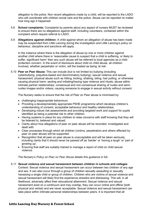allegation to the police. Non recent allegations made by a child, will be reported to the LADO who will coordinate with children social care and the police. Abuse can be reported no matter how long ago it happened.

- 5.8 **School complaints:** Complaints by parents about any aspect of nursery MUST be reviewed to ensure there are no allegations against staff, including volunteers, contained within the complaint which require referral to LADO.
- 5.9 **Allegations against children:** A child against whom an allegation of abuse has been made may be suspended from Little Lancing during the investigation and Little Lancing's policy on behaviour, discipline and sanctions will apply.

In the instance where there is the allegation of abuse by one or more children against another child where there is 'reasonable cause to suspect that a child is suffering, or likely to suffer, significant harm' then any such abuse will be referred to local agencies as a child protection concern. In the event of disclosure about child on child abuse, all children involved, whether perpetrator or victim, will the treated as being 'at risk'.

5.10 **Peer on Peer Abuse:** This can include (but is not limited to) bullying (including cyberbullying, prejudice-based and discriminatory bullying); sexual violence and sexual harassment; physical abuse such as hitting, kicking, shaking, biting, hair pulling, or otherwise causing physical harm; sexting and initiating/hazing type violence and rituals; abuse within intimate partner relationships; consensual and non-consensual sharing of nudes and seminudes images and/or videos; causing someone to engage in sexual activity without consent.

The Nursery seeks to ensure that the risk of Peer on Peer abuse is minimised by:

- challenging inappropriate behaviours
- Providing a developmentally appropriate PSHE programme which develops children's understanding of consent, acceptable behaviour and healthy relationships;
- Developing robust risk assessments and providing targeted work and support for pupils identified as being a potential risk to other children;
- Having systems in place for any children to raise concerns with staff knowing that they will be listened to, believed and valued;
- Clarity about how allegations of peer on peer abuse will be recorded, investigated and dealt with
- Clear processes through which all children (victims, perpetrators and others affected by peer on peer abuse) will be supported
- Recognition that all peer on peer abuse is unacceptable and will be taken seriously, including clarity that it should never be passed off as 'banter' or 'having a laugh' or 'part of growing up'.
- Ensuring that staff are suitably trained to manage a report of child on child sexual violence.

The Nursery's *Policy on Peer on Peer Abuse* details this guidance in full.

#### 5.11 **Sexual violence and sexual harassment between children in schools and colleges**

Context: Sexual violence and sexual harassment can occur between two children of any age and sex. It can also occur through a group of children sexually assaulting or sexually harassing a single child or group of children. Children who are victims of sexual violence and sexual harassment will likely find the experience stressful and distressing. This will, in all likelihood, adversely affect their educational attainment. Sexual violence and sexual harassment exist on a continuum and may overlap, they can occur online and offline (both physical and verbal) and are never acceptable. Sexual violence and sexual harassment can take place within intimate personal relationships between peers. It is important that all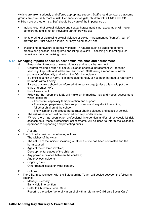victims are taken seriously and offered appropriate support. Staff should be aware that some groups are potentially more at risk. Evidence shows girls, children with SEND and LGBT children are at greater risk. Staff should be aware of the importance of:

- making clear that sexual violence and sexual harassment is not acceptable, will never be tolerated and is not an inevitable part of growing up;
- not tolerating or dismissing sexual violence or sexual harassment as "banter", "part of growing up", "just having a laugh" or "boys being boys"; and
- challenging behaviours (potentially criminal in nature), such as grabbing bottoms, breasts and genitalia, flicking bras and lifting up skirts. Dismissing or tolerating such behaviours risks normalising them.

#### 5.12 **Managing reports of peer on peer sexual violence and harassment**

- A Responding to reports of sexual violence and sexual harassment
- Children making a report of sexual violence or sexual harassment will be taken seriously, kept safe and will be well supported. Staff taking a report must never promise confidentiality and inform the DSL immediately.
- If a child is at risk of harm, is in immediate danger, or has been harmed, a referral will be made without delay.
- Parents or carers should be informed at an early stage (unless this would put the child at greater risk).
- B Risk Assessment
- Following the report the DSL will make an immediate risk and needs assessment, which considers:
	- The victim, especially their protection and support;
	- The alleged perpetrator, their support needs and any discipline action;
	- All other children at the school;
	- The victim and the alleged perpetrator sharing classes and space at school.
- The risk assessment will be recorded and kept under review.
- Where there has been other professional intervention and/or other specialist risk assessments, these professional assessments will be used to inform the College's approach to supporting and protecting pupils.
- C Actions
- The DSL will consider the following actions:
	- The wishes of the victim;
	- The nature of the incident including whether a crime has been committed and the harm caused;
	- Ages of the children involved;
	- Developmental stages of the children;
	- Any power imbalance between the children;
	- Any previous incidents;
	- Ongoing risks;
	- Other related issues or wider context.
- D. Options
- The DSL, in consultation with the Safeguarding Team, will decide between the following options:
	- Manage internally
	- Early Help intervention
	- Refer to Children's Social Care
	- Report to the police (generally in parallel with a referral to Children's Social Care)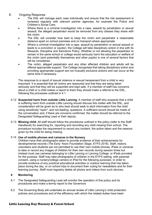- E. Ongoing Response
	- The DSL will manage each case individually and ensure that the risk assessment is reviewed regularly with relevant partner agencies, for example the Police and Children's Social Care.
	- Where there is a criminal investigation into a rape, assault by penetration or sexual assault, the alleged perpetrator would be removed from any classes they share with the victim.
	- The DSL will consider how best to keep the victim and perpetrator a reasonable distance apart on school premises and on transport where appropriate.
	- Where a criminal investigation into a rape, assault by penetration or sexual assault or leads to a conviction or caution, the College will take disciplinary action in line with its Rewards, Discipline and Sanctions Policy. Whether or not allowing the perpetrator to remain in the same school or college would seriously harm the education or welfare of the victim (and potentially themselves and other pupils) is one of several factors that will be considered.
	- The victim, alleged perpetrator and any other affected children and adults will be offered appropriate support. The College recognises that taking disciplinary action and providing appropriate support are not mutually exclusive actions and can occur at the same time if necessary.

The response to a report of sexual violence or sexual harassment from a child is very important. It is essential that all victims are reassured and that they are being taken seriously and that they will be supported and kept safe. If a member of staff has concerns about a child or a child makes a report to them they should make a referral to the DSL, following the processes outlined in 4.1

- 5.12 **Suspected harm from outside Little Lancing**: A member of staff who suspects that a child is suffering harm from outside Little Lancing should discuss this matter with the DSL, and consideration will be given as to who best should seek to elicit information from the child using sensitively "open", and not leading, questions. A sufficient record should be made of the conversation and, if there are concerns confirmed, the matter should be referred to the Designated Safeguarding Lead or their deputy.
- 5.13 **Missing child**: All staff should follow the procedures outlined in the policy (refer to the Staff Handbook) for searching for, reporting and recording any child missing from school. The procedure includes the requirement to record any incident, the action taken and the reasons given by the child for being missing.

#### 5.14 **Use of mobile phones and cameras in the Nursery**

Children have their photographs taken to provide evidence of their achievements for developmental records (*The Early Years Foundation Stage*, EYFS 2018). Staff, visitors, volunteers and students are not permitted to use their own mobile phones, iPads or cameras to take or record any images of children for their own records during session times but instead must use cameras belonging to Little Lancing or Lancing College, or iPads provided for the purpose. Staff may take photographs of children in the EYFS setting, with parental consent, using a nursery/college camera or iPad for the following purposes: in order to provide evidence of any practical educational activities or outdoor learning that has taken place during the day, or on school trips to document their outing for newsletters and for their learning journey. Staff must regularly delete all photos and videos from such devices.

#### **6 Monitoring**

- 6.1 The Designated Safeguarding Lead will monitor the operation of this policy and its procedures and make a termly report to the Governors
- 6.2 The Governing Body will undertake an annual review of Little Lancing's child protection policies and procedures and of the efficiency with which the related duties have been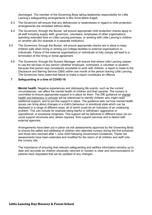discharged. The member of the Governing Body taking leadership responsibility for Little Lancing's safeguarding arrangements is Mrs Anne-Marie Edgell.

- 6.3 The Governors will ensure that any deficiencies or weaknesses in regard to child protection arrangements are remedied without delay.
- 6.4 The Governors, through the Bursar, will ensure appropriate child protection checks apply to all staff including supply staff, governors, volunteers, employees of other organisations spending extended time on Little Lancing premises, or working with Little Lancing's children on another site (for example in a separate institution).
- 6.5 The Governors, through the Bursar, will ensure appropriate checks are in place to keep children safe when hiring or renting out College facilities to external organisations or individuals. Failure of the external organisations or individuals to fully comply will lead to a termination of the hiring or rental agreement.
	- 6.6 The Governors, through the Nursery Manager, will ensure that where Little Lancing ceases to use the services of any person (whether employed, contracted, a volunteer or student) because that person was considered unsuitable to work with children, a report is made to the Disclosure and Barring Service (DBS) within one month of the person leaving Little Lancing. The Governors have noted that failure to make a report constitutes an offence.

#### **7 Safeguarding in a time of COVID-19**

**Mental health.** Negative experiences and distressing life events, such as the current circumstances, can affect the mental health of children and their parents. The nursery is committed to ensure appropriate support is in place for them. The DfE guidance on [mental](https://www.gov.uk/government/publications/mental-health-and-behaviour-in-schools--2) health and [behaviour](https://www.gov.uk/government/publications/mental-health-and-behaviour-in-schools--2) in schools will be referenced to identify children who might need additional support, and to put this support in place. The guidance sets out how mental health issues can bring about changes in a child's behaviour or emotional state which can be displayed in a range of different ways, all of which could be an indication of an underlying problem. This can include for example being fearful or withdrawn; aggressive or oppositional; or excessive clinginess. This support will be delivered in different ways via our usual support structures and, where required, from support services and in liaison with external agencies.

Arrangements have been put in place via risk assessments approved by the Governing Body to ensure the safety and wellbeing of children who attended nursery during the first lockdown and those who returned after 1 June 2020 following Government Guidelines. These risk assessments have been extended and modified for the return of all children and staff onto the nursery site.

The importance of ensuring that relevant safeguarding and welfare information remains up to date and accurate as children physically returned to nursery is clear and communications to parents have requested that we be updated of any changes.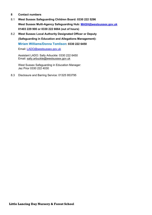#### **8 Contact numbers**

- 8.1 **West Sussex Safeguarding Children Board: 0330 222 5296 West Sussex Multi-Agency Safeguarding Hub: [MASH@westsussex.gov.uk](mailto:MASH@westsussex.gov.uk) 01403 229 900 or 0330 222 6664 (out of hours)**
- 8.2 **West Sussex Local Authority Designated Officer or Deputy (Safeguarding in Education and Allegations Management): Miriam Williams/Donna Tomlison: 0330 222 6450**

Email: [LADO@westsussex.gov.uk](mailto:LADO@westsussex.gov.uk)

Assistant LADO: Sally Arbuckle: 0330 222 6450 Email: [sally.arbuckle@westsussex.gov.uk](mailto:sally.arbuckle@westsussex.gov.uk) 

West Sussex Safeguarding in Education Manager: Jez Prior 0330 222 4030

8.3 Disclosure and Barring Service: 01325 953795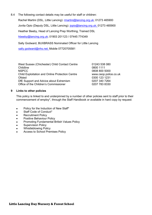8.4 The following contact details may be useful for staff or children:

Rachel Martini (DSL, Little Lancing): [rmartini@lancing.org.uk;](mailto:rmartini@lancing.org.uk) 01273 465900

Jovita Opio (Deputy DSL, Little Lancing): [jopio@lancing.org.uk;](mailto:jopio@lancing.org.uk) 01273 465900

Heather Beeby, Head of Lancing Prep Worthing, Trained DSL

[hbeeby@lancing.org.uk;](mailto:hbeeby@lancing.org.uk) 01903 201123 / 07445 774349

Sally Godward, BUXBRASS Nominated Officer for Little Lancing

[sally.godward@nhs.net;](mailto:sally.godward@nhs.net) Mobile 07720705581

| 01243 538 080         |
|-----------------------|
| 0800 1111             |
| 0808 800 5000         |
| www.ceop.police.co.uk |
| 0300 123 1231         |
| 0207 340 7264         |
| 0207 783 8330         |
|                       |

#### **9 Links to other policies**

This policy is linked to and underpinned by a number of other policies sent to staff prior to their commencement of employ\*, through the Staff Handbook or available in hard copy by request:

- Policy for the Induction of New Staff\*
- Staff Code of Conduct\*
- Recruitment Policy
- Positive Behaviour Policy
- Promoting Fundamental British Values Policy
- Supervision Policy
- Whistleblowing Policy
- Access to School Premises Policy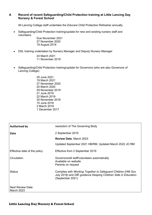#### **A Record of recent Safeguarding/Child Protection training at Little Lancing Day Nursery & Forest School**

All Lancing College staff undertake the *Educare* Child Protection Refresher annually.

• Safeguarding/Child Protection training/update for new and existing nursery staff and volunteers

Due November 2021 27 November 2020 19 August 2019

• DSL training undertaken by Nursery Manager and Deputy Nursery Manager

24 March 2021 11 November 2019

- Safeguarding/Child Protection training/update for Governors (who are also Governors of Lancing College)
	- 25 June 2021 19 March 2021 27 November 2020 20 March 2020 29 November 2019 21 June 2019 22 March 2019 30 November 2018 15 June 2018 2 March 2018 1 December 2017

| <b>Authorised by</b>                          | resolution of The Governing Body                                                                                                                   |  |
|-----------------------------------------------|----------------------------------------------------------------------------------------------------------------------------------------------------|--|
| Date                                          | 2 September 2019                                                                                                                                   |  |
|                                               | <b>Review Date: March 2023</b>                                                                                                                     |  |
|                                               | Updated September 2021 HB/RM, Updated March 2022 JO RM                                                                                             |  |
| Effective date of the policy                  | Effective from 2 September 2019                                                                                                                    |  |
| Circulation                                   | Governors/all staff/volunteers automatically<br>Available on website<br>Parents on request                                                         |  |
| <b>Status</b>                                 | Complies with Working Together to Safeguard Children (HM Gov<br>July 2018) and DfE guidance Keeping Children Safe in Education<br>(September 2021) |  |
| <b>Next Review Date:</b><br><b>March 2023</b> |                                                                                                                                                    |  |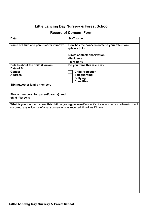# **Little Lancing Day Nursery & Forest School**

## **Record of Concern Form**

| Date:                                                                                                                                                                              | <b>Staff name:</b>                                                                                               |  |  |
|------------------------------------------------------------------------------------------------------------------------------------------------------------------------------------|------------------------------------------------------------------------------------------------------------------|--|--|
| Name of Child and parent/carer if known                                                                                                                                            | How has the concern come to your attention?<br>(please tick)<br><b>Direct contact/ observation</b><br>disclosure |  |  |
|                                                                                                                                                                                    | <b>Third party</b>                                                                                               |  |  |
| Details about the child if known:<br>Date of Birth<br><b>Gender</b>                                                                                                                | Do you think this issue is:-<br><b>Child Protection</b>                                                          |  |  |
| <b>Address</b>                                                                                                                                                                     | <b>Safeguarding</b><br><b>Bullying</b><br><b>Equalities</b>                                                      |  |  |
| Siblings/other family members                                                                                                                                                      |                                                                                                                  |  |  |
| Phone numbers for parent/carer(s) and<br>child if known:                                                                                                                           |                                                                                                                  |  |  |
| What is your concern about this child or young person (Be specific: include when and where incident<br>occurred, any evidence of what you saw or was reported, timelines if known) |                                                                                                                  |  |  |
|                                                                                                                                                                                    |                                                                                                                  |  |  |
|                                                                                                                                                                                    |                                                                                                                  |  |  |
|                                                                                                                                                                                    |                                                                                                                  |  |  |
|                                                                                                                                                                                    |                                                                                                                  |  |  |
|                                                                                                                                                                                    |                                                                                                                  |  |  |
|                                                                                                                                                                                    |                                                                                                                  |  |  |
|                                                                                                                                                                                    |                                                                                                                  |  |  |
|                                                                                                                                                                                    |                                                                                                                  |  |  |
|                                                                                                                                                                                    |                                                                                                                  |  |  |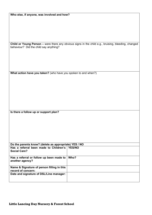| Who else, if anyone, was involved and how? |  |
|--------------------------------------------|--|
|--------------------------------------------|--|

**Child or Young Person –** were there any obvious signs in the child e.g., bruising, bleeding, changed behaviour? Did the child say anything?

**What action have you taken?** (who have you spoken to and when?)

**Is there a follow up or support plan?**

| Do the parents know? (delete as appropriate) YES / NO                  |      |  |
|------------------------------------------------------------------------|------|--|
| Has a referral been made to Children's   YES/NO<br><b>Social Care?</b> |      |  |
| Has a referral or follow up been made to<br>another agency?            | Who? |  |
| Name & Signature of person filling in this<br>record of concern:       |      |  |
| Date and signature of DSL/Line manager:                                |      |  |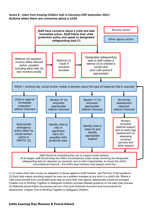#### **Annex B - taken from** *Keeping Children Safe in Education* **(DfE September 2021) Actions when there are concerns about a child**



(1) In cases which also involve an allegation of abuse against a staff member, see Part four of this guidance. (2) Early help means providing support as soon as a problem emerges at any point in a child's life. Where a child would benefit from coordinated early help an early help inter-agency assessment should be arranged. Chapter one of Working Together to Safeguard Children provides detailed guidance on the early help process. (3) Referrals should follow the process set out in the local threshold document and local protocol for assessment. Chapter One of Working Together to Safeguard Children.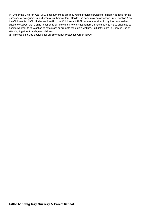(4) Under the Children Act 1989, local authorities are required to provide services for children in need for the purposes of safeguarding and promoting their welfare. Children in need may be assessed under section 17 of the Children Act 1989. Under section 47 of the Children Act 1989, where a local authority has reasonable cause to suspect that a child is suffering or likely to suffer significant harm, it has a duty to make enquiries to decide whether to take action to safeguard or promote the child's welfare. Full details are in Chapter One of Working together to safeguard children.

(5) This could include applying for an Emergency Protection Order (EPO).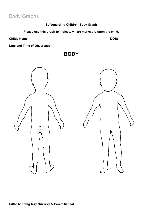# Body Graphs

### **Safeguarding Children Body Graph**

**Please use this graph to indicate where marks are upon the child.**

**BODY**

**Childs Name: DOB:**

**Date and Time of Observation:**



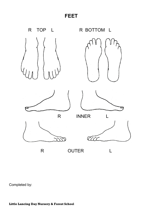**FEET**



Completed by: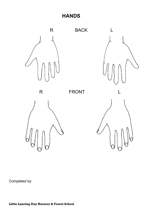**HANDS**



Completed by: